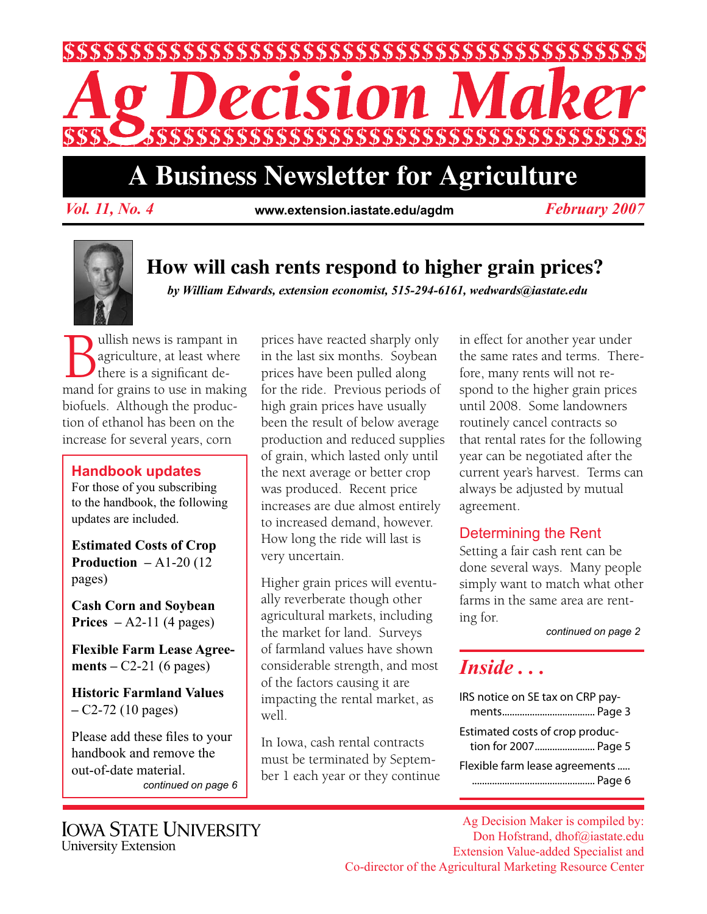

# **A Business Newsletter for Agriculture**

*Vol. 11, No. 4 February 2007* **www.extension.iastate.edu/agdm**



## **How will cash rents respond to higher grain prices?**

*by William Edwards, extension economist, 515-294-6161, wedwards@iastate.edu*

**Bullish news is rampant in**<br>
agriculture, at least where<br>
there is a significant de-<br>
mand for grains to use in making agriculture, at least where there is a significant debiofuels. Although the production of ethanol has been on the increase for several years, corn

#### **Handbook updates**

For those of you subscribing to the handbook, the following updates are included.

**Estimated Costs of Crop Production – A1-20 (12)** pages)

**Cash Corn and Soybean Prices** – A2-11 (4 pages)

**Flexible Farm Lease Agreements** – C2-21 (6 pages)

**Historic Farmland Values –** C2-72 (10 pages)

Please add these files to your handbook and remove the out-of-date material. *continued on page 6* prices have reacted sharply only in the last six months. Soybean prices have been pulled along for the ride. Previous periods of high grain prices have usually been the result of below average production and reduced supplies of grain, which lasted only until the next average or better crop was produced. Recent price increases are due almost entirely to increased demand, however. How long the ride will last is very uncertain.

Higher grain prices will eventually reverberate though other agricultural markets, including the market for land. Surveys of farmland values have shown considerable strength, and most of the factors causing it are impacting the rental market, as well.

In Iowa, cash rental contracts must be terminated by September 1 each year or they continue in effect for another year under the same rates and terms. Therefore, many rents will not respond to the higher grain prices until 2008. Some landowners routinely cancel contracts so that rental rates for the following year can be negotiated after the current year's harvest. Terms can always be adjusted by mutual agreement.

#### Determining the Rent

Setting a fair cash rent can be done several ways. Many people simply want to match what other farms in the same area are renting for.

*continued on page 2*

## *Inside . . .*

| IRS notice on SE tax on CRP pay-                        |  |
|---------------------------------------------------------|--|
|                                                         |  |
| Estimated costs of crop produc-<br>tion for 2007 Page 5 |  |
| Flexible farm lease agreements                          |  |

Ag Decision Maker is compiled by: Don Hofstrand, dhof@iastate.edu Extension Value-added Specialist and Co-director of the Agricultural Marketing Resource Center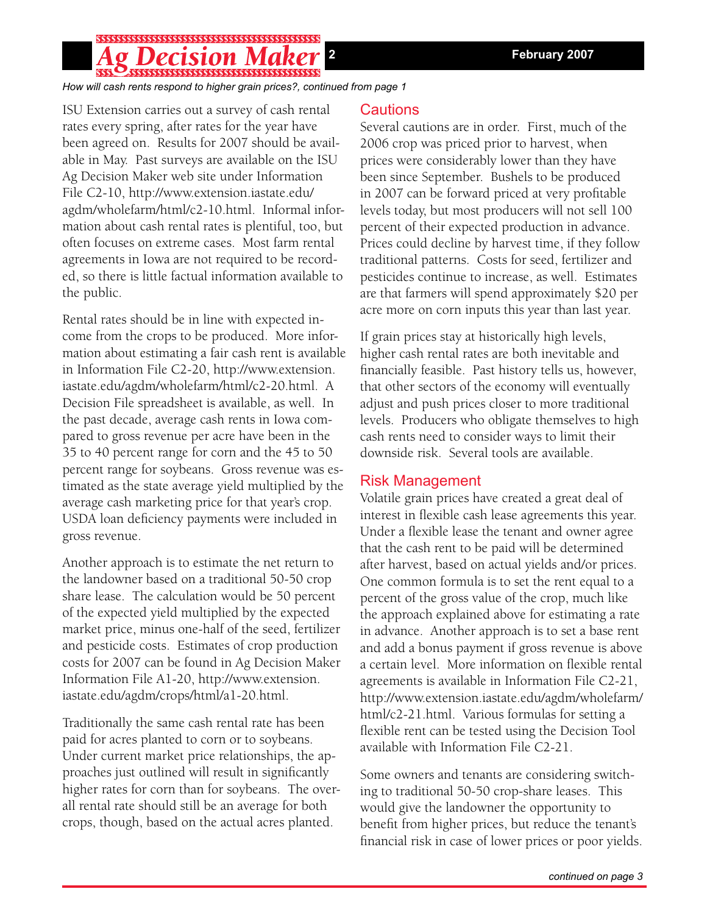## \$\$\$\$\$\$\$\$\$\$\$\$\$\$\$\$\$\$\$\$\$\$\$\$\$\$\$\$\$\$\$\$\$\$\$

*How will cash rents respond to higher grain prices?, continued from page 1*

ISU Extension carries out a survey of cash rental rates every spring, after rates for the year have been agreed on. Results for 2007 should be available in May. Past surveys are available on the ISU Ag Decision Maker web site under Information File C2-10, http://www.extension.iastate.edu/ agdm/wholefarm/html/c2-10.html. Informal information about cash rental rates is plentiful, too, but often focuses on extreme cases. Most farm rental agreements in Iowa are not required to be recorded, so there is little factual information available to the public.

Rental rates should be in line with expected income from the crops to be produced. More information about estimating a fair cash rent is available in Information File C2-20, http://www.extension. iastate.edu/agdm/wholefarm/html/c2-20.html. A Decision File spreadsheet is available, as well. In the past decade, average cash rents in Iowa compared to gross revenue per acre have been in the 35 to 40 percent range for corn and the 45 to 50 percent range for soybeans. Gross revenue was estimated as the state average yield multiplied by the average cash marketing price for that year's crop. USDA loan deficiency payments were included in gross revenue.

Another approach is to estimate the net return to the landowner based on a traditional 50-50 crop share lease. The calculation would be 50 percent of the expected yield multiplied by the expected market price, minus one-half of the seed, fertilizer and pesticide costs. Estimates of crop production costs for 2007 can be found in Ag Decision Maker Information File A1-20, http://www.extension. iastate.edu/agdm/crops/html/a1-20.html.

Traditionally the same cash rental rate has been paid for acres planted to corn or to soybeans. Under current market price relationships, the approaches just outlined will result in significantly higher rates for corn than for soybeans. The overall rental rate should still be an average for both crops, though, based on the actual acres planted.

#### Cautions

Several cautions are in order. First, much of the 2006 crop was priced prior to harvest, when prices were considerably lower than they have been since September. Bushels to be produced in 2007 can be forward priced at very profitable levels today, but most producers will not sell 100 percent of their expected production in advance. Prices could decline by harvest time, if they follow traditional patterns. Costs for seed, fertilizer and pesticides continue to increase, as well. Estimates are that farmers will spend approximately \$20 per acre more on corn inputs this year than last year.

If grain prices stay at historically high levels, higher cash rental rates are both inevitable and financially feasible. Past history tells us, however, that other sectors of the economy will eventually adjust and push prices closer to more traditional levels. Producers who obligate themselves to high cash rents need to consider ways to limit their downside risk. Several tools are available.

#### Risk Management

Volatile grain prices have created a great deal of interest in flexible cash lease agreements this year. Under a flexible lease the tenant and owner agree that the cash rent to be paid will be determined after harvest, based on actual yields and/or prices. One common formula is to set the rent equal to a percent of the gross value of the crop, much like the approach explained above for estimating a rate in advance. Another approach is to set a base rent and add a bonus payment if gross revenue is above a certain level. More information on flexible rental agreements is available in Information File C2-21, http://www.extension.iastate.edu/agdm/wholefarm/ html/c2-21.html. Various formulas for setting a flexible rent can be tested using the Decision Tool available with Information File C2-21.

Some owners and tenants are considering switching to traditional 50-50 crop-share leases. This would give the landowner the opportunity to benefit from higher prices, but reduce the tenant's financial risk in case of lower prices or poor yields.